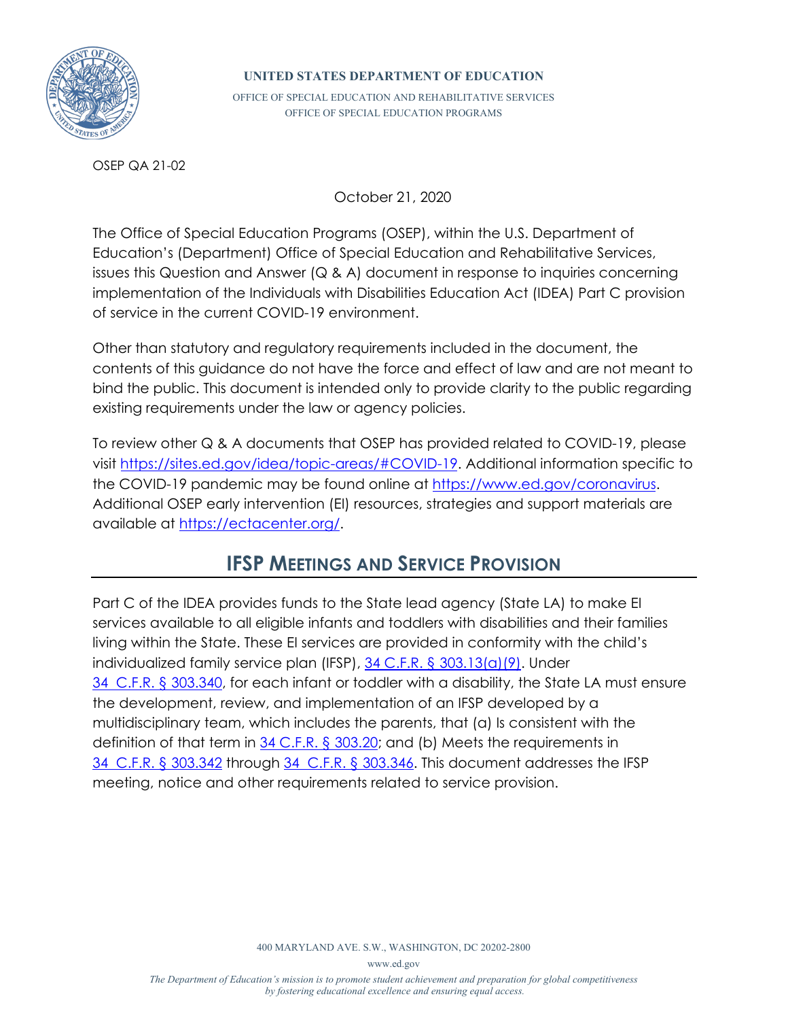

#### **UNITED STATES DEPARTMENT OF EDUCATION**

OFFICE OF SPECIAL EDUCATION AND REHABILITATIVE SERVICES OFFICE OF SPECIAL EDUCATION PROGRAMS

OSEP QA 21-02

October 21, 2020

The Office of Special Education Programs (OSEP), within the U.S. Department of Education's (Department) Office of Special Education and Rehabilitative Services, issues this Question and Answer (Q & A) document in response to inquiries concerning implementation of the Individuals with Disabilities Education Act (IDEA) Part C provision of service in the current COVID-19 environment.

Other than statutory and regulatory requirements included in the document, the contents of this guidance do not have the force and effect of law and are not meant to bind the public. This document is intended only to provide clarity to the public regarding existing requirements under the law or agency policies.

To review other Q & A documents that OSEP has provided related to COVID-19, please visi[t https://sites.ed.gov/idea/topic-areas/#COVID-19.](https://sites.ed.gov/idea/topic-areas/#COVID-19) Additional information specific to the COVID-19 pandemic may be found online at [https://www.ed.gov/coronavirus.](https://www.ed.gov/coronavirus) Additional OSEP early intervention (EI) resources, strategies and support materials are available a[t https://ectacenter.org/.](https://ectacenter.org/)

# **IFSP MEETINGS AND SERVICE PROVISION**

Part C of the IDEA provides funds to the State lead agency (State LA) to make EI services available to all eligible infants and toddlers with disabilities and their families living within the State. These EI services are provided in conformity with the child's individualized family service plan (IFSP), [34 C.F.R. § 303.13\(a\)\(9\).](https://www.ecfr.gov/cgi-bin/text-idx?SID=2ace634691ae80aee7bcac44fe24d10c&mc=true&node=se34.2.303_113&rgn=div8) Under [34 C.F.R. § 303.340,](https://www.ecfr.gov/cgi-bin/text-idx?SID=9e699be113f65a5baf61e43a9a893847&mc=true&node=se34.2.303_1340&rgn=div8) for each infant or toddler with a disability, the State LA must ensure the development, review, and implementation of an IFSP developed by a multidisciplinary team, which includes the parents, that (a) Is consistent with the definition of that term in [34 C.F.R. § 303.20;](https://www.ecfr.gov/cgi-bin/text-idx?SID=4c7fc901ab53b262ae26fbb4156e10dd&mc=true&node=se34.2.303_120&rgn=div8) and (b) Meets the requirements in [34 C.F.R. § 303.342](https://www.ecfr.gov/cgi-bin/text-idx?SID=44c586edac366aea4c52996507fe46a8&mc=true&node=se34.2.303_1342&rgn=div8) through [34 C.F.R. § 303.346.](https://www.ecfr.gov/cgi-bin/text-idx?SID=4c7fc901ab53b262ae26fbb4156e10dd&mc=true&node=se34.2.303_1346&rgn=div8) This document addresses the IFSP meeting, notice and other requirements related to service provision.

400 MARYLAND AVE. S.W., WASHINGTON, DC 20202-2800

www.ed.gov

*The Department of Education's mission is to promote student achievement and preparation for global competitiveness by fostering educational excellence and ensuring equal access.*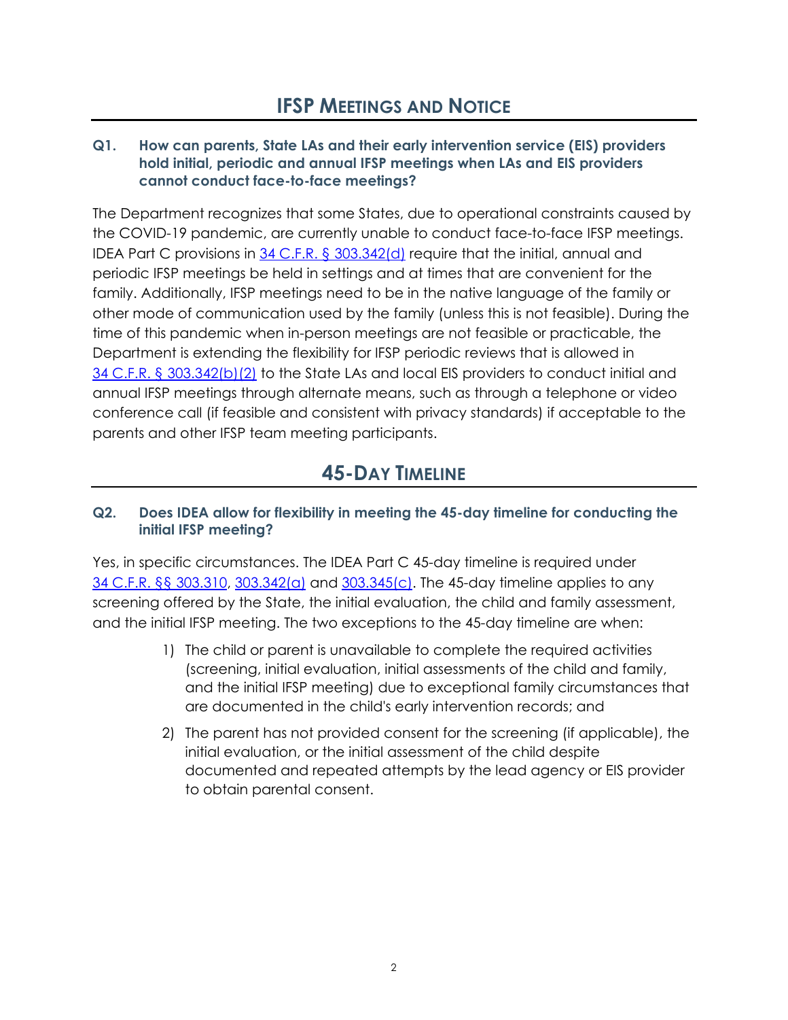#### **Q1. How can parents, State LAs and their early intervention service (EIS) providers hold initial, periodic and annual IFSP meetings when LAs and EIS providers cannot conduct face-to-face meetings?**

The Department recognizes that some States, due to operational constraints caused by the COVID-19 pandemic, are currently unable to conduct face-to-face IFSP meetings. IDEA Part C provisions in [34 C.F.R. § 303.342\(d\)](https://www.ecfr.gov/cgi-bin/text-idx?SID=44c586edac366aea4c52996507fe46a8&mc=true&node=se34.2.303_1342&rgn=div8) require that the initial, annual and periodic IFSP meetings be held in settings and at times that are convenient for the family. Additionally, IFSP meetings need to be in the native language of the family or other mode of communication used by the family (unless this is not feasible). During the time of this pandemic when in-person meetings are not feasible or practicable, the Department is extending the flexibility for IFSP periodic reviews that is allowed in 34 C.F.R. § [303.342\(b\)\(2\)](https://www.ecfr.gov/cgi-bin/text-idx?SID=44c586edac366aea4c52996507fe46a8&mc=true&node=se34.2.303_1342&rgn=div8) to the State LAs and local EIS providers to conduct initial and annual IFSP meetings through alternate means, such as through a telephone or video conference call (if feasible and consistent with privacy standards) if acceptable to the parents and other IFSP team meeting participants.

# **45-DAY TIMELINE**

### **Q2. Does IDEA allow for flexibility in meeting the 45-day timeline for conducting the initial IFSP meeting?**

Yes, in specific circumstances. The IDEA Part C 45-day timeline is required under 34 C.F.R. §§ [303.310,](https://www.ecfr.gov/cgi-bin/text-idx?SID=44c586edac366aea4c52996507fe46a8&mc=true&node=se34.2.303_1310&rgn=div8) [303.342\(a\)](https://www.ecfr.gov/cgi-bin/text-idx?SID=44c586edac366aea4c52996507fe46a8&mc=true&node=se34.2.303_1342&rgn=div8) and [303.345\(c\).](https://www.ecfr.gov/cgi-bin/text-idx?SID=68276f6d1b78551fd61a8487ee89ae9b&mc=true&node=se34.2.303_1345&rgn=div8) The 45-day timeline applies to any screening offered by the State, the initial evaluation, the child and family assessment, and the initial IFSP meeting. The two exceptions to the 45-day timeline are when:

- 1) The child or parent is unavailable to complete the required activities (screening, initial evaluation, initial assessments of the child and family, and the initial IFSP meeting) due to exceptional family circumstances that are documented in the child's early intervention records; and
- 2) The parent has not provided consent for the screening (if applicable), the initial evaluation, or the initial assessment of the child despite documented and repeated attempts by the lead agency or EIS provider to obtain parental consent.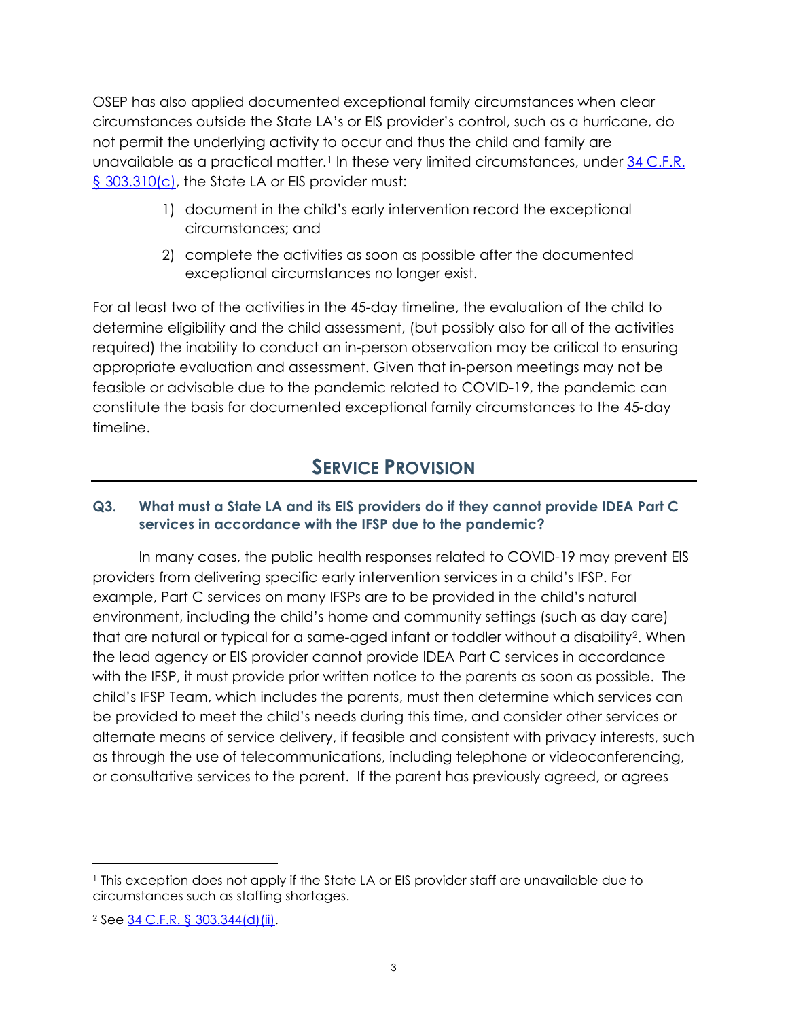OSEP has also applied documented exceptional family circumstances when clear circumstances outside the State LA's or EIS provider's control, such as a hurricane, do not permit the underlying activity to occur and thus the child and family are unavailable as a practical matter.<sup>[1](#page-2-0)</sup> In these very limited circumstances, under 34 [C.F.R.](https://www.ecfr.gov/cgi-bin/text-idx?SID=44c586edac366aea4c52996507fe46a8&mc=true&node=se34.2.303_1310&rgn=div8) [§ 303.310\(c\),](https://www.ecfr.gov/cgi-bin/text-idx?SID=44c586edac366aea4c52996507fe46a8&mc=true&node=se34.2.303_1310&rgn=div8) the State LA or EIS provider must:

- 1) document in the child's early intervention record the exceptional circumstances; and
- 2) complete the activities as soon as possible after the documented exceptional circumstances no longer exist.

For at least two of the activities in the 45-day timeline, the evaluation of the child to determine eligibility and the child assessment, (but possibly also for all of the activities required) the inability to conduct an in-person observation may be critical to ensuring appropriate evaluation and assessment. Given that in-person meetings may not be feasible or advisable due to the pandemic related to COVID-19, the pandemic can constitute the basis for documented exceptional family circumstances to the 45-day timeline.

## **SERVICE PROVISION**

#### **Q3. What must a State LA and its EIS providers do if they cannot provide IDEA Part C services in accordance with the IFSP due to the pandemic?**

In many cases, the public health responses related to COVID-19 may prevent EIS providers from delivering specific early intervention services in a child's IFSP. For example, Part C services on many IFSPs are to be provided in the child's natural environment, including the child's home and community settings (such as day care) that are natural or typical for a same-aged infant or toddler without a disability[2.](#page-2-1) When the lead agency or EIS provider cannot provide IDEA Part C services in accordance with the IFSP, it must provide prior written notice to the parents as soon as possible. The child's IFSP Team, which includes the parents, must then determine which services can be provided to meet the child's needs during this time, and consider other services or alternate means of service delivery, if feasible and consistent with privacy interests, such as through the use of telecommunications, including telephone or videoconferencing, or consultative services to the parent. If the parent has previously agreed, or agrees

<span id="page-2-0"></span><sup>1</sup> This exception does not apply if the State LA or EIS provider staff are unavailable due to circumstances such as staffing shortages.

<span id="page-2-1"></span><sup>2</sup> See [34 C.F.R. § 303.344\(d\)\(ii\).](https://www.ecfr.gov/cgi-bin/text-idx?SID=4dc9546d2c5decc859fd5c1c4183991f&mc=true&node=se34.2.303_1344&rgn=div8)